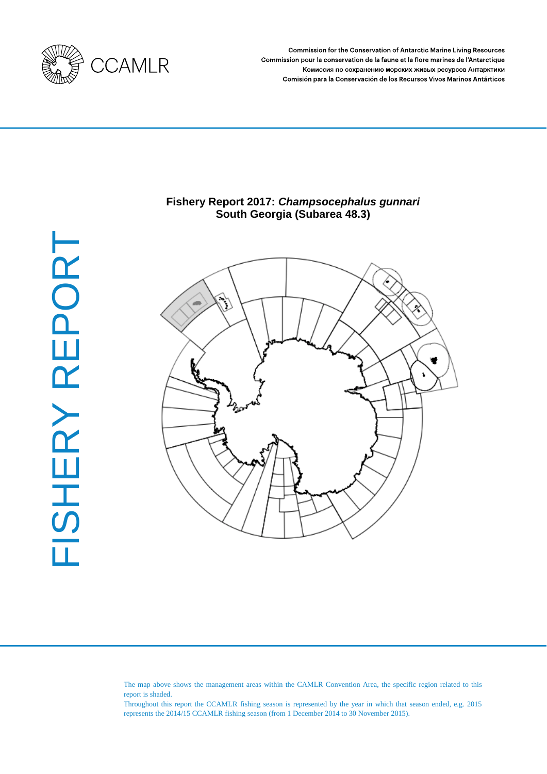

Commission for the Conservation of Antarctic Marine Living Resources Commission pour la conservation de la faune et la flore marines de l'Antarctique Комиссия по сохранению морских живых ресурсов Антарктики Comisión para la Conservación de los Recursos Vivos Marinos Antárticos

# FISHERY REPORT FISHERY REPORT

# **Fishery Report 2017:** *Champsocephalus gunnari*  **South Georgia (Subarea 48.3)**



The map above shows the management areas within the CAMLR Convention Area, the specific region related to this report is shaded.

Throughout this report the CCAMLR fishing season is represented by the year in which that season ended, e.g. 2015 represents the 2014/15 CCAMLR fishing season (from 1 December 2014 to 30 November 2015).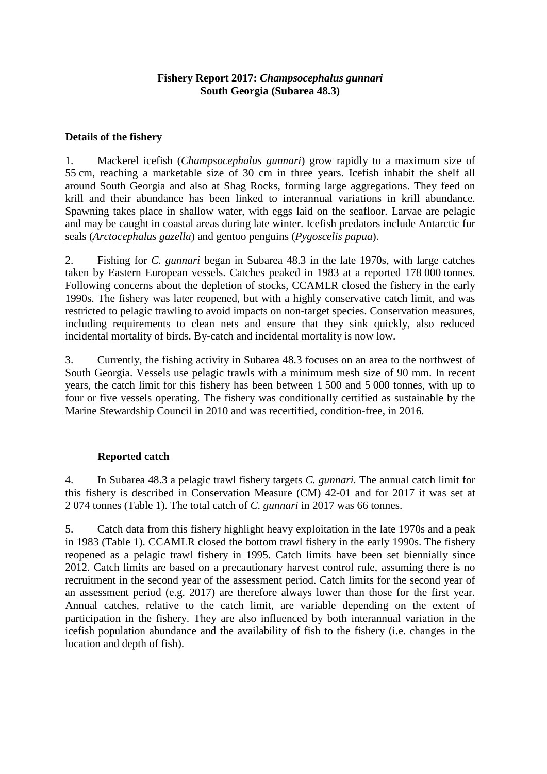# **Fishery Report 2017:** *Champsocephalus gunnari* **South Georgia (Subarea 48.3)**

# **Details of the fishery**

1. Mackerel icefish (*Champsocephalus gunnari*) grow rapidly to a maximum size of 55 cm, reaching a marketable size of 30 cm in three years. Icefish inhabit the shelf all around South Georgia and also at Shag Rocks, forming large aggregations. They feed on krill and their abundance has been linked to interannual variations in krill abundance. Spawning takes place in shallow water, with eggs laid on the seafloor. Larvae are pelagic and may be caught in coastal areas during late winter. Icefish predators include Antarctic fur seals (*Arctocephalus gazella*) and gentoo penguins (*Pygoscelis papua*).

2. Fishing for *C. gunnari* began in Subarea 48.3 in the late 1970s, with large catches taken by Eastern European vessels. Catches peaked in 1983 at a reported 178 000 tonnes. Following concerns about the depletion of stocks, CCAMLR closed the fishery in the early 1990s. The fishery was later reopened, but with a highly conservative catch limit, and was restricted to pelagic trawling to avoid impacts on non-target species. Conservation measures, including requirements to clean nets and ensure that they sink quickly, also reduced incidental mortality of birds. By-catch and incidental mortality is now low.

3. Currently, the fishing activity in Subarea 48.3 focuses on an area to the northwest of South Georgia. Vessels use pelagic trawls with a minimum mesh size of 90 mm. In recent years, the catch limit for this fishery has been between 1 500 and 5 000 tonnes, with up to four or five vessels operating. The fishery was conditionally certified as sustainable by the Marine Stewardship Council in 2010 and was recertified, condition-free, in 2016.

# **Reported catch**

4. In Subarea 48.3 a pelagic trawl fishery targets *C. gunnari.* The annual catch limit for this fishery is described in Conservation Measure (CM) 42-01 and for 2017 it was set at 2 074 tonnes (Table 1). The total catch of *C. gunnari* in 2017 was 66 tonnes.

5. Catch data from this fishery highlight heavy exploitation in the late 1970s and a peak in 1983 (Table 1). CCAMLR closed the bottom trawl fishery in the early 1990s. The fishery reopened as a pelagic trawl fishery in 1995. Catch limits have been set biennially since 2012. Catch limits are based on a precautionary harvest control rule, assuming there is no recruitment in the second year of the assessment period. Catch limits for the second year of an assessment period (e.g. 2017) are therefore always lower than those for the first year. Annual catches, relative to the catch limit, are variable depending on the extent of participation in the fishery. They are also influenced by both interannual variation in the icefish population abundance and the availability of fish to the fishery (i.e. changes in the location and depth of fish).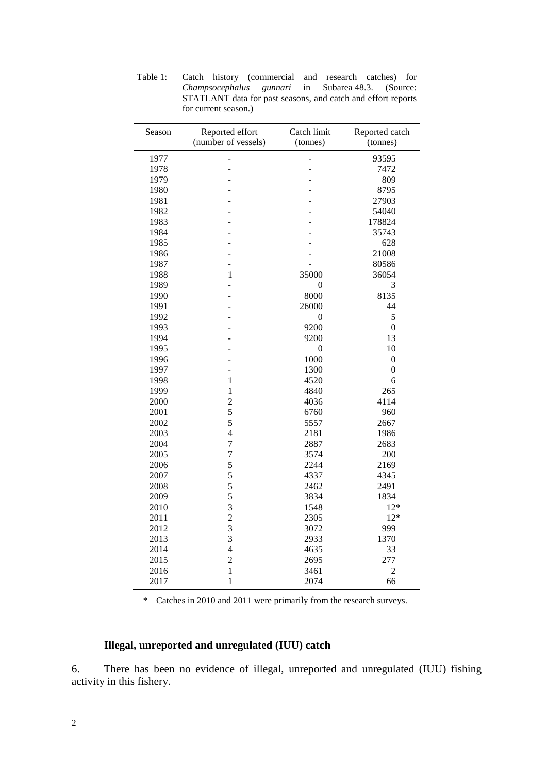| Season | Reported effort         | Catch limit      | Reported catch   |  |  |
|--------|-------------------------|------------------|------------------|--|--|
|        | (number of vessels)     | (tonnes)         | (tonnes)         |  |  |
| 1977   |                         |                  | 93595            |  |  |
| 1978   |                         |                  | 7472             |  |  |
| 1979   | L,                      |                  | 809              |  |  |
| 1980   |                         |                  | 8795             |  |  |
| 1981   |                         |                  | 27903            |  |  |
| 1982   |                         |                  | 54040            |  |  |
| 1983   |                         |                  | 178824           |  |  |
| 1984   |                         |                  | 35743            |  |  |
| 1985   |                         |                  | 628              |  |  |
| 1986   | L,                      |                  | 21008            |  |  |
| 1987   | L,                      |                  | 80586            |  |  |
| 1988   | 1                       | 35000            | 36054            |  |  |
| 1989   |                         | $\boldsymbol{0}$ | 3                |  |  |
| 1990   |                         | 8000             | 8135             |  |  |
| 1991   |                         | 26000            | 44               |  |  |
| 1992   |                         | $\overline{0}$   | 5                |  |  |
| 1993   |                         | 9200             | $\overline{0}$   |  |  |
| 1994   |                         | 9200             | 13               |  |  |
| 1995   |                         | $\boldsymbol{0}$ | 10               |  |  |
| 1996   |                         | 1000             | $\boldsymbol{0}$ |  |  |
| 1997   |                         | 1300             | $\overline{0}$   |  |  |
| 1998   | $\mathbf{1}$            | 4520             | 6                |  |  |
| 1999   | 1                       | 4840             | 265              |  |  |
| 2000   | $\overline{2}$          | 4036             | 4114             |  |  |
| 2001   | 5                       | 6760             | 960              |  |  |
| 2002   | 5                       | 5557             | 2667             |  |  |
| 2003   | $\overline{4}$          | 2181             | 1986             |  |  |
| 2004   | $\overline{7}$          | 2887             | 2683             |  |  |
| 2005   | $\overline{7}$          | 3574             | 200              |  |  |
| 2006   | 5                       | 2244             | 2169             |  |  |
| 2007   | 5                       | 4337             | 4345             |  |  |
| 2008   | 5                       | 2462             | 2491             |  |  |
| 2009   | 5                       | 3834             | 1834             |  |  |
| 2010   | 3                       | 1548             | $12*$            |  |  |
| 2011   | $\overline{c}$          | 2305             | $12*$            |  |  |
| 2012   | $\overline{\mathbf{3}}$ | 3072             | 999              |  |  |
| 2013   | 3                       | 2933             | 1370             |  |  |
| 2014   | $\overline{4}$          | 4635             | 33               |  |  |
| 2015   | $\overline{c}$          | 2695             | 277              |  |  |
| 2016   | $\mathbf{1}$            | 3461             | $\overline{2}$   |  |  |
| 2017   | $\mathbf{1}$            | 2074             | 66               |  |  |

Table 1: Catch history (commercial and research catches) for *Champsocephalus gunnari* in Subarea 48.3. (Source: STATLANT data for past seasons, and catch and effort reports for current season.)

\* Catches in 2010 and 2011 were primarily from the research surveys.

# **Illegal, unreported and unregulated (IUU) catch**

6. There has been no evidence of illegal, unreported and unregulated (IUU) fishing activity in this fishery.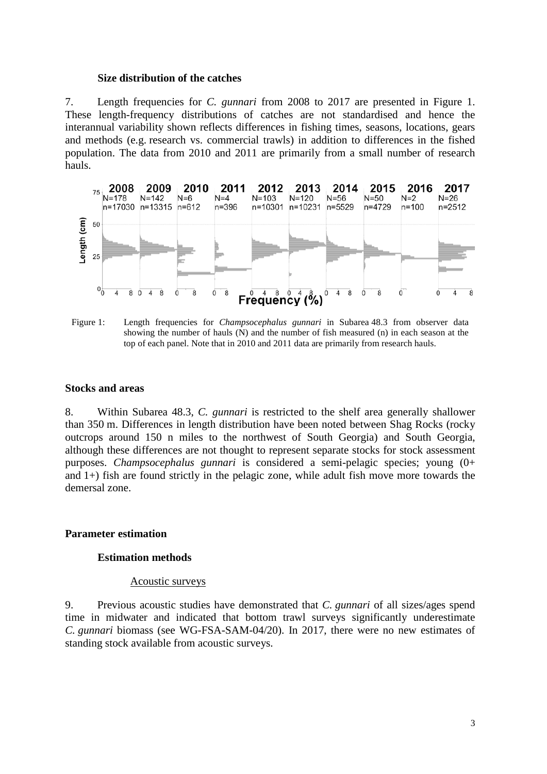### **Size distribution of the catches**

7. Length frequencies for *C. gunnari* from 2008 to 2017 are presented in Figure 1. These length-frequency distributions of catches are not standardised and hence the interannual variability shown reflects differences in fishing times, seasons, locations, gears and methods (e.g. research vs. commercial trawls) in addition to differences in the fished population. The data from 2010 and 2011 are primarily from a small number of research hauls.



Figure 1: Length frequencies for *Champsocephalus gunnari* in Subarea 48.3 from observer data showing the number of hauls (N) and the number of fish measured (n) in each season at the top of each panel. Note that in 2010 and 2011 data are primarily from research hauls.

### **Stocks and areas**

8. Within Subarea 48.3, *C. gunnari* is restricted to the shelf area generally shallower than 350 m. Differences in length distribution have been noted between Shag Rocks (rocky outcrops around 150 n miles to the northwest of South Georgia) and South Georgia, although these differences are not thought to represent separate stocks for stock assessment purposes. *Champsocephalus gunnari* is considered a semi-pelagic species; young (0+ and 1+) fish are found strictly in the pelagic zone, while adult fish move more towards the demersal zone.

### **Parameter estimation**

### **Estimation methods**

### Acoustic surveys

9. Previous acoustic studies have demonstrated that *C. gunnari* of all sizes/ages spend time in midwater and indicated that bottom trawl surveys significantly underestimate *C. gunnari* biomass (see WG-FSA-SAM-04/20). In 2017, there were no new estimates of standing stock available from acoustic surveys.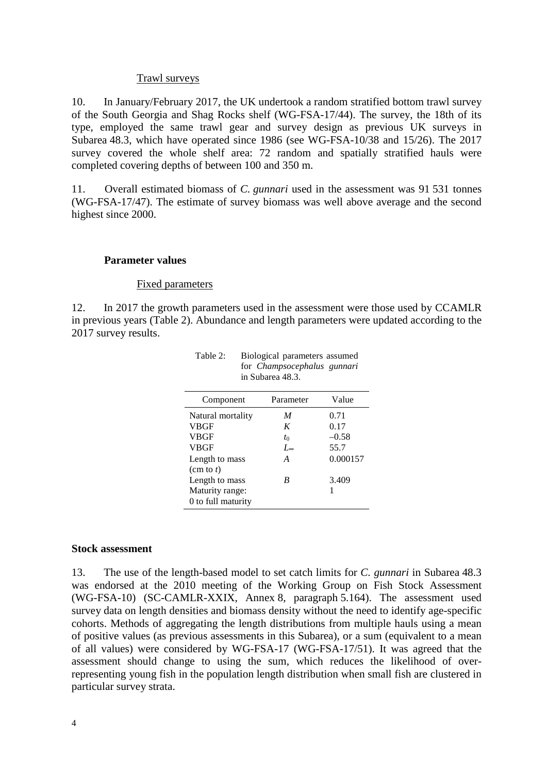## Trawl surveys

10. In January/February 2017, the UK undertook a random stratified bottom trawl survey of the South Georgia and Shag Rocks shelf (WG-FSA-17/44). The survey, the 18th of its type, employed the same trawl gear and survey design as previous UK surveys in Subarea 48.3, which have operated since 1986 (see WG-FSA-10/38 and 15/26). The 2017 survey covered the whole shelf area: 72 random and spatially stratified hauls were completed covering depths of between 100 and 350 m.

11. Overall estimated biomass of *C. gunnari* used in the assessment was 91 531 tonnes (WG-FSA-17/47). The estimate of survey biomass was well above average and the second highest since 2000.

### **Parameter values**

### Fixed parameters

12. In 2017 the growth parameters used in the assessment were those used by CCAMLR in previous years (Table 2). Abundance and length parameters were updated according to the 2017 survey results.

| 111 Dubulut 19.9.   |              |          |  |  |  |  |
|---------------------|--------------|----------|--|--|--|--|
| Component           | Parameter    | Value    |  |  |  |  |
| Natural mortality   | M            | 0.71     |  |  |  |  |
| <b>VBGF</b>         | K            | 0.17     |  |  |  |  |
| <b>VBGF</b>         | $t_0$        | $-0.58$  |  |  |  |  |
| <b>VBGF</b>         | $L_{\infty}$ | 55.7     |  |  |  |  |
| Length to mass      | A            | 0.000157 |  |  |  |  |
| $(\text{cm to } t)$ |              |          |  |  |  |  |
| Length to mass      | R            | 3.409    |  |  |  |  |
| Maturity range:     |              |          |  |  |  |  |
| 0 to full maturity  |              |          |  |  |  |  |

Table 2: Biological parameters assumed for *Champsocephalus gunnari* in Subarea 48.3.

### **Stock assessment**

13. The use of the length-based model to set catch limits for *C. gunnari* in Subarea 48.3 was endorsed at the 2010 meeting of the Working Group on Fish Stock Assessment (WG-FSA-10) (SC-CAMLR-XXIX, Annex 8, paragraph 5.164). The assessment used survey data on length densities and biomass density without the need to identify age-specific cohorts. Methods of aggregating the length distributions from multiple hauls using a mean of positive values (as previous assessments in this Subarea), or a sum (equivalent to a mean of all values) were considered by WG-FSA-17 (WG-FSA-17/51). It was agreed that the assessment should change to using the sum, which reduces the likelihood of overrepresenting young fish in the population length distribution when small fish are clustered in particular survey strata.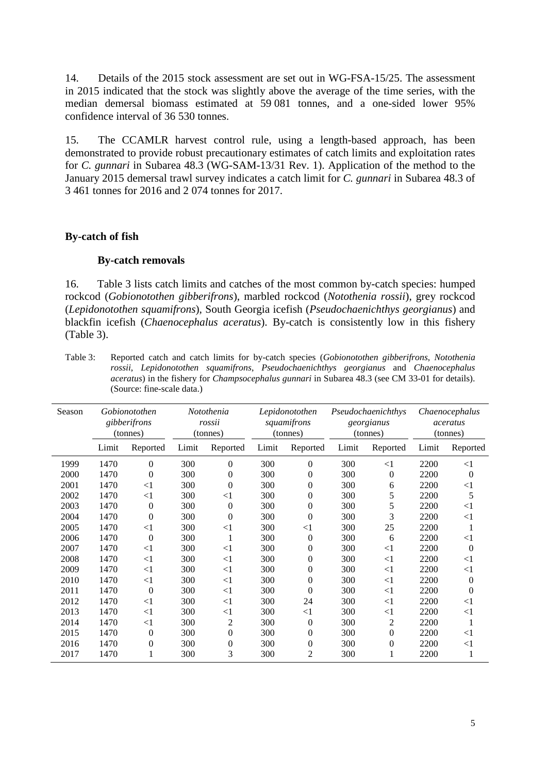14. Details of the 2015 stock assessment are set out in WG-FSA-15/25. The assessment in 2015 indicated that the stock was slightly above the average of the time series, with the median demersal biomass estimated at 59 081 tonnes, and a one-sided lower 95% confidence interval of 36 530 tonnes.

15. The CCAMLR harvest control rule, using a length-based approach, has been demonstrated to provide robust precautionary estimates of catch limits and exploitation rates for *C. gunnari* in Subarea 48.3 (WG-SAM-13/31 Rev. 1). Application of the method to the January 2015 demersal trawl survey indicates a catch limit for *C. gunnari* in Subarea 48.3 of 3 461 tonnes for 2016 and 2 074 tonnes for 2017.

### **By-catch of fish**

### **By-catch removals**

16. Table 3 lists catch limits and catches of the most common by-catch species: humped rockcod (*Gobionotothen gibberifrons*), marbled rockcod (*Notothenia rossii*), grey rockcod (*Lepidonotothen squamifrons*), South Georgia icefish (*Pseudochaenichthys georgianus*) and blackfin icefish (*Chaenocephalus aceratus*). By-catch is consistently low in this fishery (Table 3).

Table 3: Reported catch and catch limits for by-catch species (*Gobionotothen gibberifrons*, *Notothenia rossii*, *Lepidonotothen squamifrons*, *Pseudochaenichthys georgianus* and *Chaenocephalus aceratus*) in the fishery for *Champsocephalus gunnari* in Subarea 48.3 (see CM 33-01 for details). (Source: fine-scale data.)

| Season |       | Gobionotothen<br>gibberifrons<br>(tonnes) |       | Notothenia<br>rossii<br>(tonnes) |       | Lepidonotothen<br>squamifrons<br>(tonnes) | Pseudochaenichthys<br>georgianus<br>(tonnes) |                | Chaenocephalus<br>aceratus<br>(tonnes) |                  |
|--------|-------|-------------------------------------------|-------|----------------------------------|-------|-------------------------------------------|----------------------------------------------|----------------|----------------------------------------|------------------|
|        | Limit | Reported                                  | Limit | Reported                         | Limit | Reported                                  | Limit                                        | Reported       | Limit                                  | Reported         |
| 1999   | 1470  | $\theta$                                  | 300   | $\overline{0}$                   | 300   | $\boldsymbol{0}$                          | 300                                          | $<$ 1          | 2200                                   | <1               |
| 2000   | 1470  | $\boldsymbol{0}$                          | 300   | 0                                | 300   | $\boldsymbol{0}$                          | 300                                          | 0              | 2200                                   | $\boldsymbol{0}$ |
| 2001   | 1470  | $<$ 1                                     | 300   | $\overline{0}$                   | 300   | $\boldsymbol{0}$                          | 300                                          | 6              | 2200                                   | $\leq$ 1         |
| 2002   | 1470  | $<$ 1                                     | 300   | $<$ 1                            | 300   | $\boldsymbol{0}$                          | 300                                          | 5              | 2200                                   | 5                |
| 2003   | 1470  | 0                                         | 300   | $\boldsymbol{0}$                 | 300   | $\boldsymbol{0}$                          | 300                                          | 5              | 2200                                   | $<$ 1            |
| 2004   | 1470  | $\overline{0}$                            | 300   | $\boldsymbol{0}$                 | 300   | $\boldsymbol{0}$                          | 300                                          | 3              | 2200                                   | <1               |
| 2005   | 1470  | $<$ 1                                     | 300   | $\leq$ 1                         | 300   | $<$ 1                                     | 300                                          | 25             | 2200                                   |                  |
| 2006   | 1470  | $\overline{0}$                            | 300   | 1                                | 300   | $\boldsymbol{0}$                          | 300                                          | 6              | 2200                                   | $<$ 1            |
| 2007   | 1470  | $<$ 1                                     | 300   | $<$ 1                            | 300   | 0                                         | 300                                          | $\leq$ 1       | 2200                                   | $\boldsymbol{0}$ |
| 2008   | 1470  | $\leq$ 1                                  | 300   | $\leq$ 1                         | 300   | $\overline{0}$                            | 300                                          | $<$ 1          | 2200                                   | <1               |
| 2009   | 1470  | $<$ 1                                     | 300   | $<$ 1                            | 300   | $\boldsymbol{0}$                          | 300                                          | $\leq$ 1       | 2200                                   | $<$ 1            |
| 2010   | 1470  | $<$ 1                                     | 300   | $\leq$ 1                         | 300   | $\overline{0}$                            | 300                                          | $\leq$ 1       | 2200                                   | $\overline{0}$   |
| 2011   | 1470  | $\overline{0}$                            | 300   | $\leq$ 1                         | 300   | $\overline{0}$                            | 300                                          | $\leq$ 1       | 2200                                   | $\overline{0}$   |
| 2012   | 1470  | $<$ 1                                     | 300   | $<$ 1                            | 300   | 24                                        | 300                                          | $<$ 1          | 2200                                   | $\leq$ 1         |
| 2013   | 1470  | $<$ 1                                     | 300   | $<$ 1                            | 300   | $<$ 1                                     | 300                                          | $\leq$ 1       | 2200                                   | $<$ 1            |
| 2014   | 1470  | $<$ 1                                     | 300   | 2                                | 300   | $\boldsymbol{0}$                          | 300                                          | $\overline{c}$ | 2200                                   |                  |
| 2015   | 1470  | $\theta$                                  | 300   | $\boldsymbol{0}$                 | 300   | $\boldsymbol{0}$                          | 300                                          | 0              | 2200                                   | $<$ 1            |
| 2016   | 1470  | $\theta$                                  | 300   | 0                                | 300   | $\boldsymbol{0}$                          | 300                                          | 0              | 2200                                   | $<$ 1            |
| 2017   | 1470  |                                           | 300   | 3                                | 300   | $\overline{2}$                            | 300                                          |                | 2200                                   | $\mathbf{1}$     |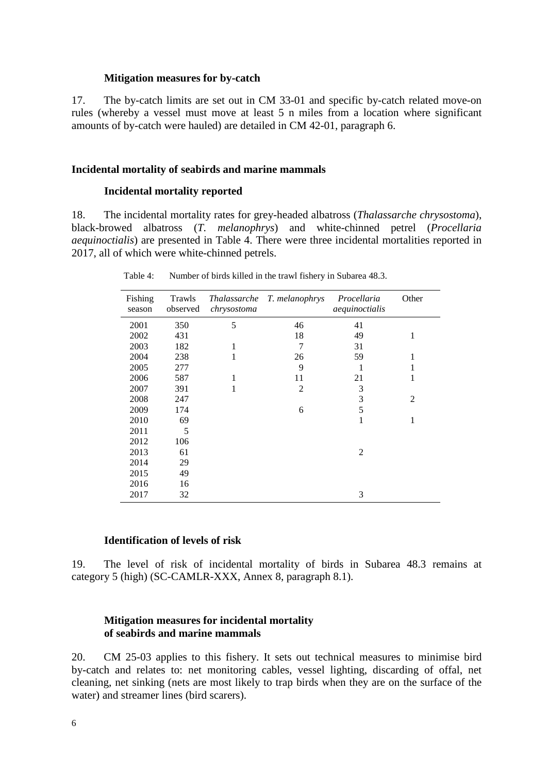### **Mitigation measures for by-catch**

17. The by-catch limits are set out in CM 33-01 and specific by-catch related move-on rules (whereby a vessel must move at least 5 n miles from a location where significant amounts of by-catch were hauled) are detailed in CM 42-01, paragraph 6.

### **Incidental mortality of seabirds and marine mammals**

### **Incidental mortality reported**

18. The incidental mortality rates for grey-headed albatross (*Thalassarche chrysostoma*), black-browed albatross (*T. melanophrys*) and white-chinned petrel (*Procellaria aequinoctialis*) are presented in Table 4. There were three incidental mortalities reported in 2017, all of which were white-chinned petrels.

| Fishing<br>season | Trawls<br>observed | <i>Thalassarche</i><br>chrysostoma | T. melanophrys | Procellaria<br>aequinoctialis | Other          |
|-------------------|--------------------|------------------------------------|----------------|-------------------------------|----------------|
| 2001              | 350                | 5                                  | 46             | 41                            |                |
| 2002              | 431                |                                    | 18             | 49                            | 1              |
| 2003              | 182                | 1                                  | 7              | 31                            |                |
| 2004              | 238                | 1                                  | 26             | 59                            | 1              |
| 2005              | 277                |                                    | 9              | 1                             | 1              |
| 2006              | 587                |                                    | 11             | 21                            | 1              |
| 2007              | 391                | 1                                  | $\overline{2}$ | 3                             |                |
| 2008              | 247                |                                    |                | 3                             | $\overline{c}$ |
| 2009              | 174                |                                    | 6              | 5                             |                |
| 2010              | 69                 |                                    |                | 1                             | 1              |
| 2011              | 5                  |                                    |                |                               |                |
| 2012              | 106                |                                    |                |                               |                |
| 2013              | 61                 |                                    |                | 2                             |                |
| 2014              | 29                 |                                    |                |                               |                |
| 2015              | 49                 |                                    |                |                               |                |
| 2016              | 16                 |                                    |                |                               |                |
| 2017              | 32                 |                                    |                | 3                             |                |

Table 4: Number of birds killed in the trawl fishery in Subarea 48.3.

### **Identification of levels of risk**

19. The level of risk of incidental mortality of birds in Subarea 48.3 remains at category 5 (high) (SC-CAMLR-XXX, Annex 8, paragraph 8.1).

# **Mitigation measures for incidental mortality of seabirds and marine mammals**

20. CM 25-03 applies to this fishery. It sets out technical measures to minimise bird by-catch and relates to: net monitoring cables, vessel lighting, discarding of offal, net cleaning, net sinking (nets are most likely to trap birds when they are on the surface of the water) and streamer lines (bird scarers).